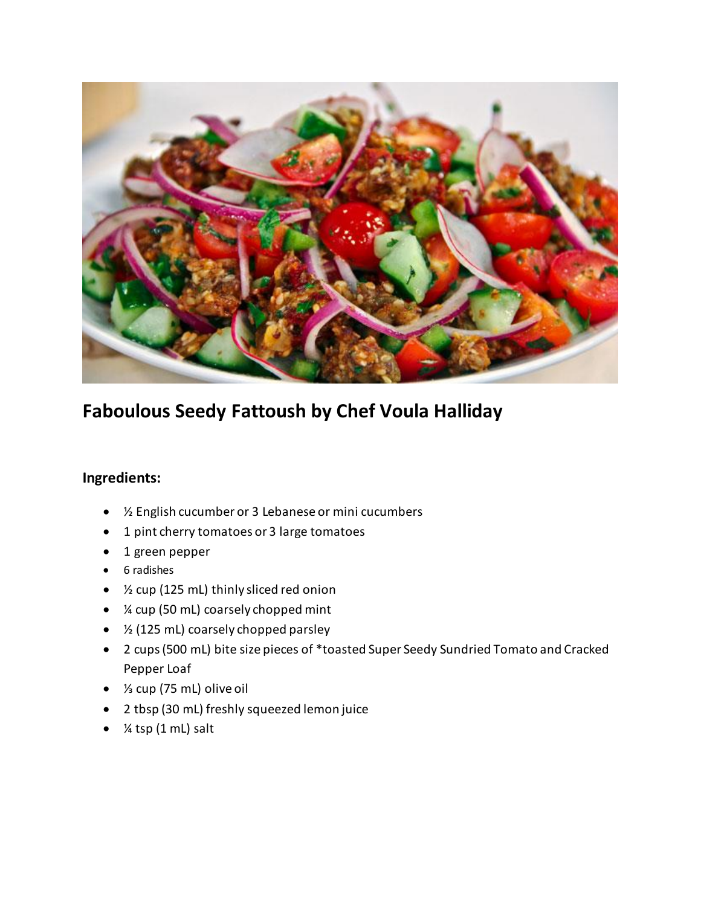

## **Faboulous Seedy Fattoush by Chef Voula Halliday**

## **Ingredients:**

- ½ English cucumber or 3 Lebanese or mini cucumbers
- 1 pint cherry tomatoes or 3 large tomatoes
- 1 green pepper
- 6 radishes
- ½ cup (125 mL) thinly sliced red onion
- *X*<sub>4</sub> cup (50 mL) coarsely chopped mint
- $\bullet$  % (125 mL) coarsely chopped parsley
- 2 cups (500 mL) bite size pieces of \*toasted Super Seedy Sundried Tomato and Cracked Pepper Loaf
- ⅓ cup (75 mL) olive oil
- 2 tbsp (30 mL) freshly squeezed lemon juice
- $\bullet$  % tsp (1 mL) salt